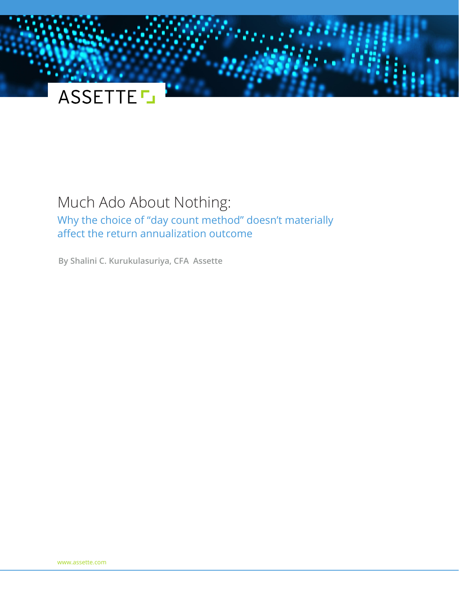

# Much Ado About Nothing: Why the choice of "day count method" doesn't materially affect the return annualization outcome

**By Shalini C. Kurukulasuriya, CFA Assette**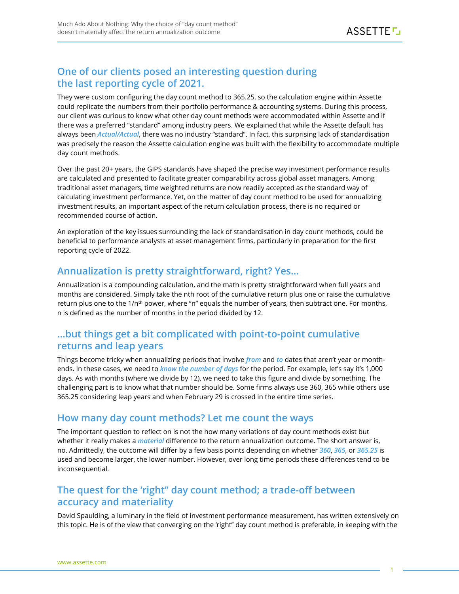## **One of our clients posed an interesting question during the last reporting cycle of 2021.**

They were custom configuring the day count method to 365.25, so the calculation engine within Assette could replicate the numbers from their portfolio performance & accounting systems. During this process, our client was curious to know what other day count methods were accommodated within Assette and if there was a preferred "standard" among industry peers. We explained that while the Assette default has always been *Actual/Actual*, there was no industry "standard". In fact, this surprising lack of standardisation was precisely the reason the Assette calculation engine was built with the flexibility to accommodate multiple day count methods.

Over the past 20+ years, the GIPS standards have shaped the precise way investment performance results are calculated and presented to facilitate greater comparability across global asset managers. Among traditional asset managers, time weighted returns are now readily accepted as the standard way of calculating investment performance. Yet, on the matter of day count method to be used for annualizing investment results, an important aspect of the return calculation process, there is no required or recommended course of action.

An exploration of the key issues surrounding the lack of standardisation in day count methods, could be beneficial to performance analysts at asset management firms, particularly in preparation for the first reporting cycle of 2022.

#### **Annualization is pretty straightforward, right? Yes…**

Annualization is a compounding calculation, and the math is pretty straightforward when full years and months are considered. Simply take the nth root of the cumulative return plus one or raise the cumulative return plus one to the 1/n**th** power, where "n" equals the number of years, then subtract one. For months, n is defined as the number of months in the period divided by 12.

## **…but things get a bit complicated with point-to-point cumulative returns and leap years**

Things become tricky when annualizing periods that involve *from* and *to* dates that aren't year or monthends. In these cases, we need to *know the number of days* for the period. For example, let's say it's 1,000 days. As with months (where we divide by 12), we need to take this figure and divide by something. The challenging part is to know what that number should be. Some firms always use 360, 365 while others use 365.25 considering leap years and when February 29 is crossed in the entire time series.

#### **How many day count methods? Let me count the ways**

The important question to reflect on is not the how many variations of day count methods exist but whether it really makes a *material* difference to the return annualization outcome. The short answer is, no. Admittedly, the outcome will differ by a few basis points depending on whether *360*, *365*, or *365.25* is used and become larger, the lower number. However, over long time periods these differences tend to be inconsequential.

## **The quest for the 'right'' day count method; a trade-off between accuracy and materiality**

David Spaulding, a luminary in the field of investment performance measurement, has written extensively on this topic. He is of the view that converging on the 'right" day count method is preferable, in keeping with the